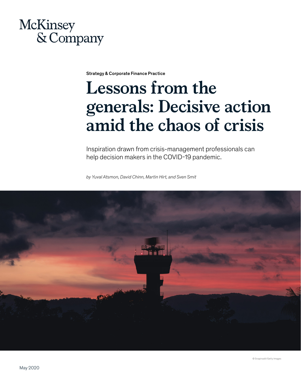

Strategy & Corporate Finance Practice

# **Lessons from the generals: Decisive action amid the chaos of crisis**

Inspiration drawn from crisis-management professionals can help decision makers in the COVID-19 pandemic.

*by Yuval Atsmon, David Chinn, Martin Hirt, and Sven Smit*

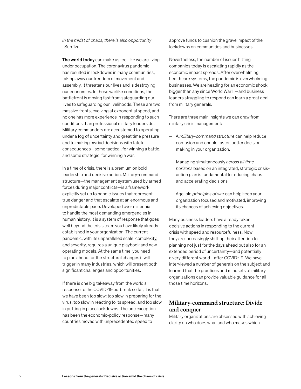*In the midst of chaos, there is also opportunity* —Sun Tzu

The world today can make us feel like we are living under occupation. The coronavirus pandemic has resulted in lockdowns in many communities, taking away our freedom of movement and assembly. It threatens our lives and is destroying our economies. In these warlike conditions, the battlefront is moving fast from safeguarding our lives to safeguarding our livelihoods. These are two massive fronts, evolving at exponential speed, and no one has more experience in responding to such conditions than professional military leaders do. Military commanders are accustomed to operating under a fog of uncertainty and great time pressure and to making myriad decisions with fateful consequences—some tactical, for winning a battle, and some strategic, for winning a war.

In a time of crisis, there is a premium on bold leadership and decisive action. Military-command structure—the management system used by armed forces during major conflicts—is a framework explicitly set up to handle issues that represent true danger and that escalate at an enormous and unpredictable pace. Developed over millennia to handle the most demanding emergencies in human history, it is a system of response that goes well beyond the crisis team you have likely already established in your organization. The current pandemic, with its unparalleled scale, complexity, and severity, requires a unique playbook and new operating models. At the same time, you need to plan ahead for the structural changes it will trigger in many industries, which will present both significant challenges and opportunities.

If there is one big takeaway from the world's response to the COVID-19 outbreak so far, it is that we have been too slow: too slow in preparing for the virus, too slow in reacting to its spread, and too slow in putting in place lockdowns. The one exception has been the economic-policy response—many countries moved with unprecedented speed to

approve funds to cushion the grave impact of the lockdowns on communities and businesses.

Nevertheless, the number of issues hitting companies today is escalating rapidly as the economic impact spreads. After overwhelming healthcare systems, the pandemic is overwhelming businesses. We are heading for an economic shock bigger than any since World War II—and business leaders struggling to respond can learn a great deal from military generals.

There are three main insights we can draw from military crisis management:

- A *military-command structure* can help reduce confusion and enable faster, better decision making in your organization.
- Managing simultaneously *across all time horizons* based on an integrated, strategic crisisaction plan is fundamental to reducing chaos and accelerating decisions.
- Age-old *principles of war* can help keep your organization focused and motivated, improving its chances of achieving objectives.

Many business leaders have already taken decisive actions in responding to the current crisis with speed and resourcefulness. Now they are increasingly shifting their attention to planning not just for the days ahead but also for an extended period of uncertainty—and potentially a very different world—after COVID-19. We have interviewed a number of generals on the subject and learned that the practices and mindsets of military organizations can provide valuable guidance for all those time horizons.

# **Military-command structure: Divide and conquer**

Military organizations are obsessed with achieving clarity on who does what and who makes which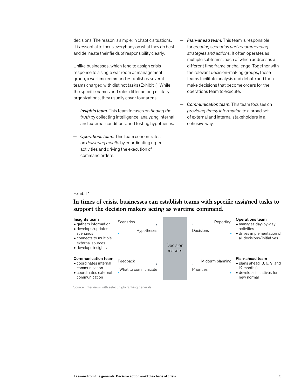decisions. The reason is simple: in chaotic situations, it is essential to focus everybody on what they do best and delineate their fields of responsibility clearly.

Unlike businesses, which tend to assign crisis response to a single war room or management group, a wartime command establishes several teams charged with distinct tasks (Exhibit 1). While the specific names and roles differ among military organizations, they usually cover four areas:

- *Insights team.* This team focuses on *finding the truth* by collecting intelligence, analyzing internal and external conditions, and testing hypotheses.
- activities and driving the execution of command orders. — *Operations team.* This team concentrates on *delivering results* by coordinating urgent
- *Plan-ahead team.* This team is responsible for *creating scenarios and recommending strategies and actions.* It often operates as multiple subteams, each of which addresses a different time frame or challenge. Together with the relevant decision-making groups, these teams facilitate analysis and debate and then make decisions that become orders for the operations team to execute.
- *Communication team.* This team focuses on *providing timely information* to a broad set of external and internal stakeholders in a cohesive way.

#### Exhibit 1

# In times of crisis, businesses can establish teams with specific assigned tasks to **support the decision makers acting as wartime command.**



Source: Interviews with select high-ranking generals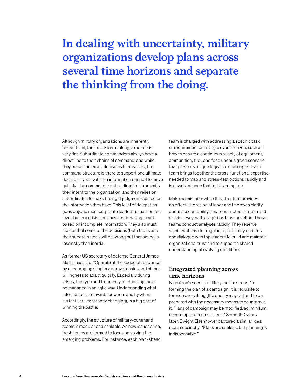# **In dealing with uncertainty, military organizations develop plans across several time horizons and separate the thinking from the doing.**

Although military organizations are inherently hierarchical, their decision-making structure is very flat. Subordinate commanders always have a direct line to their chains of command, and while they make numerous decisions themselves, the command structure is there to support one ultimate decision maker with the information needed to move quickly. The commander sets a direction, transmits their intent to the organization, and then relies on subordinates to make the right judgments based on the information they have. This level of delegation goes beyond most corporate leaders' usual comfort level, but in a crisis, they have to be willing to act based on incomplete information. They also must accept that some of the decisions (both theirs and their subordinates') will be wrong but that acting is less risky than inertia.

As former US secretary of defense General James Mattis has said, "Operate at the speed of relevance" by encouraging simpler approval chains and higher willingness to adapt quickly. Especially during crises, the type and frequency of reporting must be managed in an agile way. Understanding what information is relevant, for whom and by when (as facts are constantly changing), is a big part of winning the battle.

Accordingly, the structure of military-command teams is modular and scalable. As new issues arise, fresh teams are formed to focus on solving the emerging problems. For instance, each plan-ahead

team is charged with addressing a specific task or requirement on a single event horizon, such as how to ensure a continuous supply of equipment, ammunition, fuel, and food under a given scenario that presents unique logistical challenges. Each team brings together the cross-functional expertise needed to map and stress-test options rapidly and is dissolved once that task is complete.

Make no mistake: while this structure provides an effective division of labor and improves clarity about accountability, it is constructed in a lean and efficient way, with a vigorous bias for action. These teams conduct analyses rapidly. They reserve significant time for regular, high-quality updates and dialogue with top leaders to build and maintain organizational trust and to support a shared understanding of evolving conditions.

# **Integrated planning across time horizons**

Napoleon's second military maxim states, "In forming the plan of a campaign, it is requisite to foresee everything [the enemy may do] and to be prepared with the necessary means to counteract it. Plans of campaign may be modified, ad infinitum, according to circumstances." Some 150 years later, Dwight Eisenhower captured a similar idea more succinctly: "Plans are useless, but planning is indispensable."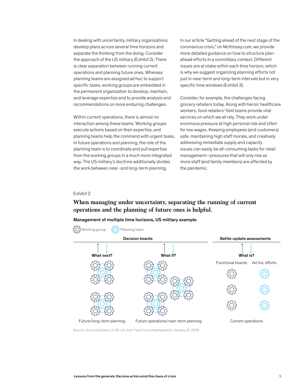In dealing with uncertainty, military organizations develop plans across several time horizons and separate the thinking from the doing. Consider the approach of the US military (Exhibit 2). There is clear separation between running current operations and planning future ones. Whereas planning teams are assigned ad hoc to support specific tasks, working groups are embedded in the permanent organization to develop, maintain, and leverage expertise and to provide analysis and recommendations on more enduring challenges.

Within current operations, there is almost no interaction among these teams. Working groups execute actions based on their expertise, and planning teams help the command with urgent tasks. In future operations and planning, the role of the planning team is to coordinate and pull expertise from the working groups in a much more integrated way. The US military's doctrine additionally divides the work between near- and long-term planning.

In our article "Getting ahead of the next stage of the coronavirus crisis," on McKinsey.com, we provide more detailed guidance on how to structure planahead efforts in a nonmilitary context. Different issues are at stake within each time horizon, which is why we suggest organizing planning efforts not just in near-term and long-term intervals but in very specific time windows (Exhibit 3).

Consider, for example, the challenges facing grocery retailers today. Along with heroic healthcare workers, food retailers' field teams provide vital services on which we all rely. They work under enormous pressure at high personal risk and often for low wages. Keeping employees (and customers) safe, maintaining high staff morale, and creatively addressing immediate supply and capacity issues can easily be all-consuming tasks for retail management—pressures that will only rise as more staff (and family members) are affected by the pandemic.

#### Exhibit 2

# **When managing under uncertainty, separating the running of current operations and the planning of future ones is helpful.**

#### Management of multiple time horizons, US military example



Source: *Joint publication 3-33*, US Joint Task Force Headquarters, January 31, 2018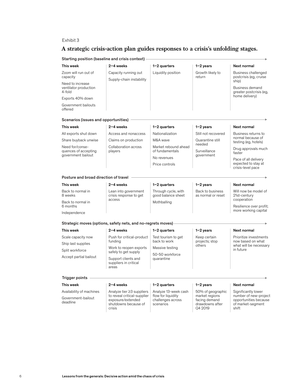### Exhibit 3

# **A strategic crisis-action plan guides responses to a crisis's unfolding stages.**

Starting position (baseline and crisis context) -

| This week                                                     | 2-4 weeks                                                                          | $1-2$ quarters                                        | $1-2$ years                                                   | Next normal                                                                                       |
|---------------------------------------------------------------|------------------------------------------------------------------------------------|-------------------------------------------------------|---------------------------------------------------------------|---------------------------------------------------------------------------------------------------|
| Zoom will run out of<br>capacity                              | Capacity running out<br>Supply-chain instability                                   | Liquidity position                                    | Growth likely to<br>return                                    | Business challenged<br>postcrisis (eg, cruise                                                     |
| Need to increase<br>ventilator production<br>4-fold           |                                                                                    |                                                       |                                                               | ship)<br>Business demand<br>greater postcrisis (eg,                                               |
| Exports 40% down                                              |                                                                                    |                                                       |                                                               | home delivery)                                                                                    |
| Government bailouts<br>offered                                |                                                                                    |                                                       |                                                               |                                                                                                   |
| Scenarios (issues and opportunities)                          |                                                                                    |                                                       |                                                               |                                                                                                   |
| This week                                                     | $2 - 4$ weeks                                                                      | $1-2$ quarters                                        | $1-2$ years                                                   | Next normal                                                                                       |
| All exports shut down                                         | Access and nonaccess                                                               | Nationalization                                       | Still not recovered<br>Quarantine still                       | Business returns to<br>normal because of<br>testing (eg, hotels)                                  |
| Share buyback unwise                                          | Claims on production                                                               | M&A wave                                              |                                                               |                                                                                                   |
| Need for/conse-<br>quences of accepting<br>government bailout | Collaboration across<br>players                                                    | Market rebound ahead<br>of fundamentals               | needed<br>Surveillance<br>government                          | Drug approvals much<br>faster                                                                     |
|                                                               |                                                                                    | No revenues                                           |                                                               | Pace of all delivery<br>expected to stay at<br>crisis-level pace                                  |
|                                                               |                                                                                    | Price controls                                        |                                                               |                                                                                                   |
| Posture and broad direction of travel                         |                                                                                    |                                                       |                                                               |                                                                                                   |
| This week                                                     | 2-4 weeks                                                                          | $1-2$ quarters                                        | $1-2$ years                                                   | Next normal                                                                                       |
| Back to normal in<br>8 weeks                                  | Lean into government<br>crisis response to get<br>access                           | Through cycle, with<br>good balance sheet             | Back to business<br>as normal or reset                        | Will now be model of<br>21st-century                                                              |
| Back to normal in<br>6 months                                 |                                                                                    | Mothballing                                           |                                                               | cooperation<br>Resilience over profit;                                                            |
| Independence                                                  |                                                                                    |                                                       |                                                               | more working capital                                                                              |
|                                                               | Strategic moves (options, safety nets, and no-regrets moves)                       |                                                       |                                                               |                                                                                                   |
|                                                               |                                                                                    |                                                       |                                                               |                                                                                                   |
| This week                                                     | 2-4 weeks<br>Push for critical-product<br>funding                                  | $1-2$ quarters<br>Test tourism to get<br>back to work | $1-2$ years<br>Keep certain<br>projects; stop<br>others       | Next normal<br>Prioritize investments<br>now based on what<br>what will be necessary<br>in future |
| Scale capacity now<br>Ship last supplies                      |                                                                                    |                                                       |                                                               |                                                                                                   |
| Split workforce                                               | Work to reopen exports                                                             | Massive testing                                       |                                                               |                                                                                                   |
| Accept partial bailout                                        | safely to get supply<br>Support clients and<br>suppliers in critical<br>areas      | 50-50 workforce<br>quarantine                         |                                                               |                                                                                                   |
|                                                               |                                                                                    |                                                       |                                                               |                                                                                                   |
| <b>Trigger points</b>                                         |                                                                                    |                                                       |                                                               |                                                                                                   |
| This week                                                     | 2-4 weeks                                                                          | $1-2$ quarters                                        | $1 - 2$ years                                                 | Next normal                                                                                       |
| Availability of machines                                      | Analyze tier ≥3 suppliers                                                          | Analyze 13-week cash                                  | 50% of geographic                                             | Significantly lower                                                                               |
| Government-bailout<br>deadline                                | to reveal critical-supplier<br>exposure/extended<br>shutdowns because of<br>crisis | flow for liquidity<br>challenges across<br>scenarios  | market regions<br>facing demand<br>drawdowns after<br>Q4 2019 | number of new-project<br>opportunities because<br>of market-segment<br>shift                      |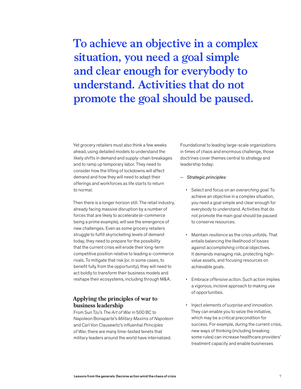**To achieve an objective in a complex situation, you need a goal simple and clear enough for everybody to understand. Activities that do not promote the goal should be paused.**

Yet grocery retailers must also think a few weeks ahead, using detailed models to understand the likely shifts in demand and supply-chain breakages and to ramp up temporary labor. They need to consider how the lifting of lockdowns will affect demand and how they will need to adapt their offerings and workforces as life starts to return to normal.

Then there is a longer horizon still. The retail industry, already facing massive disruption by a number of forces that are likely to accelerate (e-commerce being a prime example), will see the emergence of new challenges. Even as some grocery retailers struggle to fulfill skyrocketing levels of demand today, they need to prepare for the possibility that the current crisis will erode their long-term competitive position relative to leading e-commerce rivals. To mitigate that risk (or, in some cases, to benefit fully from the opportunity), they will need to act boldly to transform their business models and reshape their ecosystems, including through M&A.

# **Applying the principles of war to business leadership**

From Sun Tzu's *The Art of War* in 500 BC to Napoleon Bonaparte's *Military Maxims of Napoleon*  and Carl Von Clausewitz's influential *Principles of War*, there are many time-tested tenets that military leaders around the world have internalized.

Foundational to leading large-scale organizations in times of chaos and enormous challenge, those doctrines cover themes central to strategy and leadership today:

- *Strategic principles:* 
	- Select and focus on an *overarching goal*. To achieve an objective in a complex situation, you need a goal simple and clear enough for everybody to understand. Activities that do not promote the main goal should be paused to conserve resources.
	- Maintain *resilience* as the crisis unfolds. That entails balancing the likelihood of losses against accomplishing critical objectives. It demands managing risk, protecting highvalue assets, and focusing resources on achievable goals.
	- Embrace *offensive action*. Such action implies a vigorous, incisive approach to making use of opportunities.
	- Inject *elements of surprise and innovation*. They can enable you to seize the initiative, which may be a critical precondition for success. For example, during the current crisis, new ways of thinking (including breaking some rules) can increase healthcare providers' treatment capacity and enable businesses